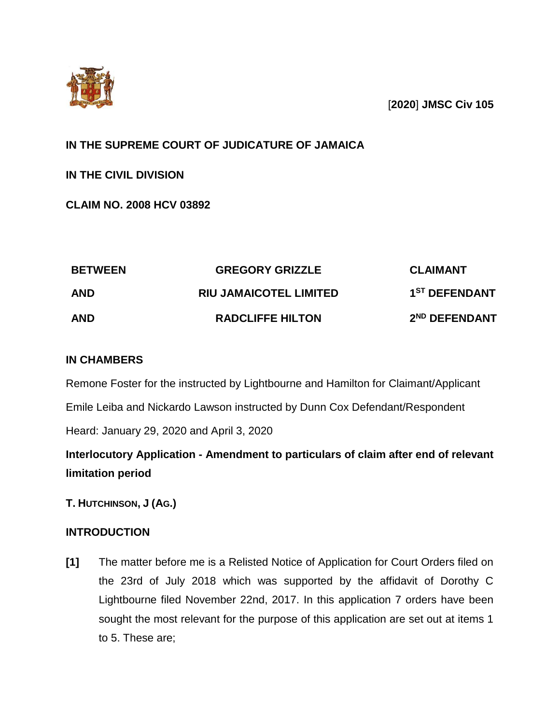

[**2020**] **JMSC Civ 105**

# **IN THE SUPREME COURT OF JUDICATURE OF JAMAICA**

**IN THE CIVIL DIVISION**

**CLAIM NO. 2008 HCV 03892**

| <b>BETWEEN</b> | <b>GREGORY GRIZZLE</b>        | <b>CLAIMANT</b>           |
|----------------|-------------------------------|---------------------------|
| <b>AND</b>     | <b>RIU JAMAICOTEL LIMITED</b> | 1 <sup>ST</sup> DEFENDANT |
| <b>AND</b>     | <b>RADCLIFFE HILTON</b>       | 2 <sup>ND</sup> DEFENDANT |

## **IN CHAMBERS**

Remone Foster for the instructed by Lightbourne and Hamilton for Claimant/Applicant

Emile Leiba and Nickardo Lawson instructed by Dunn Cox Defendant/Respondent

Heard: January 29, 2020 and April 3, 2020

**Interlocutory Application - Amendment to particulars of claim after end of relevant limitation period** 

**T. HUTCHINSON, J (AG.)**

# **INTRODUCTION**

**[1]** The matter before me is a Relisted Notice of Application for Court Orders filed on the 23rd of July 2018 which was supported by the affidavit of Dorothy C Lightbourne filed November 22nd, 2017. In this application 7 orders have been sought the most relevant for the purpose of this application are set out at items 1 to 5. These are;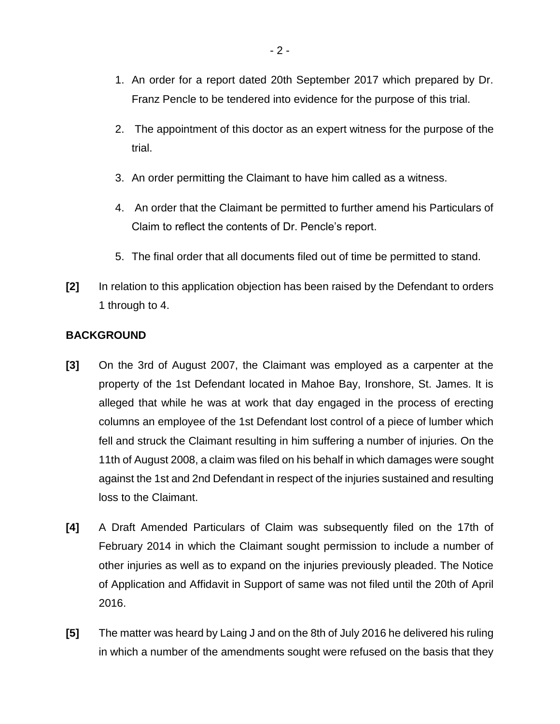- 1. An order for a report dated 20th September 2017 which prepared by Dr. Franz Pencle to be tendered into evidence for the purpose of this trial.
- 2. The appointment of this doctor as an expert witness for the purpose of the trial.
- 3. An order permitting the Claimant to have him called as a witness.
- 4. An order that the Claimant be permitted to further amend his Particulars of Claim to reflect the contents of Dr. Pencle's report.
- 5. The final order that all documents filed out of time be permitted to stand.
- **[2]** In relation to this application objection has been raised by the Defendant to orders 1 through to 4.

### **BACKGROUND**

- **[3]** On the 3rd of August 2007, the Claimant was employed as a carpenter at the property of the 1st Defendant located in Mahoe Bay, Ironshore, St. James. It is alleged that while he was at work that day engaged in the process of erecting columns an employee of the 1st Defendant lost control of a piece of lumber which fell and struck the Claimant resulting in him suffering a number of injuries. On the 11th of August 2008, a claim was filed on his behalf in which damages were sought against the 1st and 2nd Defendant in respect of the injuries sustained and resulting loss to the Claimant.
- **[4]** A Draft Amended Particulars of Claim was subsequently filed on the 17th of February 2014 in which the Claimant sought permission to include a number of other injuries as well as to expand on the injuries previously pleaded. The Notice of Application and Affidavit in Support of same was not filed until the 20th of April 2016.
- **[5]** The matter was heard by Laing J and on the 8th of July 2016 he delivered his ruling in which a number of the amendments sought were refused on the basis that they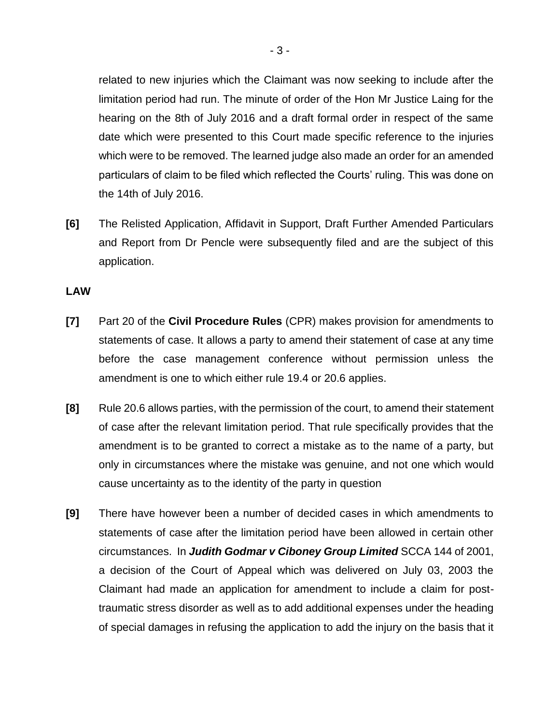related to new injuries which the Claimant was now seeking to include after the limitation period had run. The minute of order of the Hon Mr Justice Laing for the hearing on the 8th of July 2016 and a draft formal order in respect of the same date which were presented to this Court made specific reference to the injuries which were to be removed. The learned judge also made an order for an amended particulars of claim to be filed which reflected the Courts' ruling. This was done on the 14th of July 2016.

**[6]** The Relisted Application, Affidavit in Support, Draft Further Amended Particulars and Report from Dr Pencle were subsequently filed and are the subject of this application.

### **LAW**

- **[7]** Part 20 of the **Civil Procedure Rules** (CPR) makes provision for amendments to statements of case. It allows a party to amend their statement of case at any time before the case management conference without permission unless the amendment is one to which either rule 19.4 or 20.6 applies.
- **[8]** Rule 20.6 allows parties, with the permission of the court, to amend their statement of case after the relevant limitation period. That rule specifically provides that the amendment is to be granted to correct a mistake as to the name of a party, but only in circumstances where the mistake was genuine, and not one which would cause uncertainty as to the identity of the party in question
- **[9]** There have however been a number of decided cases in which amendments to statements of case after the limitation period have been allowed in certain other circumstances. In *Judith Godmar v Ciboney Group Limited* SCCA 144 of 2001, a decision of the Court of Appeal which was delivered on July 03, 2003 the Claimant had made an application for amendment to include a claim for posttraumatic stress disorder as well as to add additional expenses under the heading of special damages in refusing the application to add the injury on the basis that it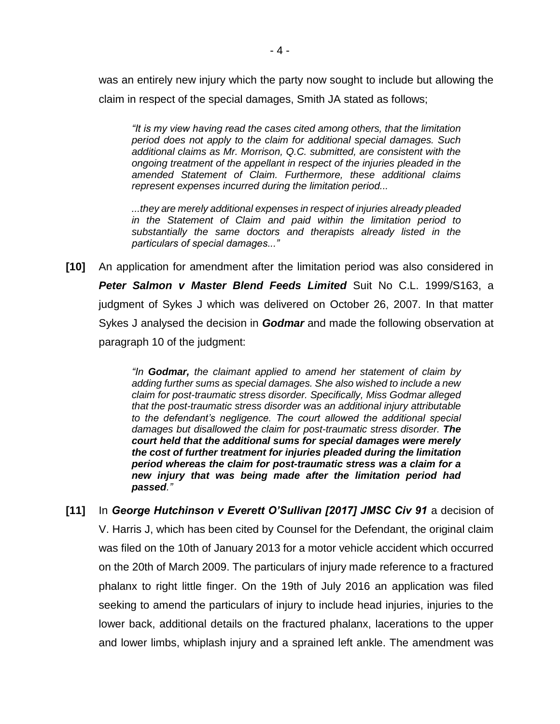was an entirely new injury which the party now sought to include but allowing the claim in respect of the special damages, Smith JA stated as follows;

*"It is my view having read the cases cited among others, that the limitation period does not apply to the claim for additional special damages. Such additional claims as Mr. Morrison, Q.C. submitted, are consistent with the ongoing treatment of the appellant in respect of the injuries pleaded in the amended Statement of Claim. Furthermore, these additional claims represent expenses incurred during the limitation period...* 

*...they are merely additional expenses in respect of injuries already pleaded in the Statement of Claim and paid within the limitation period to substantially the same doctors and therapists already listed in the particulars of special damages..."*

**[10]** An application for amendment after the limitation period was also considered in *Peter Salmon v Master Blend Feeds Limited* Suit No C.L. 1999/S163, a judgment of Sykes J which was delivered on October 26, 2007. In that matter Sykes J analysed the decision in *Godmar* and made the following observation at paragraph 10 of the judgment:

> *"In Godmar, the claimant applied to amend her statement of claim by adding further sums as special damages. She also wished to include a new claim for post-traumatic stress disorder. Specifically, Miss Godmar alleged that the post-traumatic stress disorder was an additional injury attributable to the defendant's negligence. The court allowed the additional special damages but disallowed the claim for post-traumatic stress disorder. The court held that the additional sums for special damages were merely the cost of further treatment for injuries pleaded during the limitation period whereas the claim for post-traumatic stress was a claim for a new injury that was being made after the limitation period had passed."*

**[11]** In *George Hutchinson v Everett O'Sullivan [2017] JMSC Civ 91* a decision of V. Harris J, which has been cited by Counsel for the Defendant, the original claim was filed on the 10th of January 2013 for a motor vehicle accident which occurred on the 20th of March 2009. The particulars of injury made reference to a fractured phalanx to right little finger. On the 19th of July 2016 an application was filed seeking to amend the particulars of injury to include head injuries, injuries to the lower back, additional details on the fractured phalanx, lacerations to the upper and lower limbs, whiplash injury and a sprained left ankle. The amendment was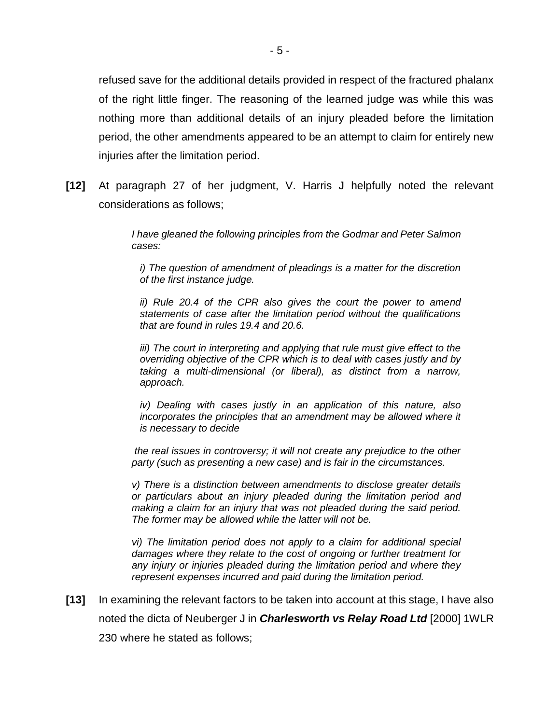refused save for the additional details provided in respect of the fractured phalanx of the right little finger. The reasoning of the learned judge was while this was nothing more than additional details of an injury pleaded before the limitation period, the other amendments appeared to be an attempt to claim for entirely new injuries after the limitation period.

**[12]** At paragraph 27 of her judgment, V. Harris J helpfully noted the relevant considerations as follows;

> *I have gleaned the following principles from the Godmar and Peter Salmon cases:*

*i) The question of amendment of pleadings is a matter for the discretion of the first instance judge.* 

*ii) Rule 20.4 of the CPR also gives the court the power to amend statements of case after the limitation period without the qualifications that are found in rules 19.4 and 20.6.* 

*iii) The court in interpreting and applying that rule must give effect to the overriding objective of the CPR which is to deal with cases justly and by taking a multi-dimensional (or liberal), as distinct from a narrow, approach.* 

*iv) Dealing with cases justly in an application of this nature, also incorporates the principles that an amendment may be allowed where it is necessary to decide* 

*the real issues in controversy; it will not create any prejudice to the other party (such as presenting a new case) and is fair in the circumstances.* 

*v) There is a distinction between amendments to disclose greater details or particulars about an injury pleaded during the limitation period and making a claim for an injury that was not pleaded during the said period. The former may be allowed while the latter will not be.* 

*vi) The limitation period does not apply to a claim for additional special damages where they relate to the cost of ongoing or further treatment for any injury or injuries pleaded during the limitation period and where they represent expenses incurred and paid during the limitation period.*

**[13]** In examining the relevant factors to be taken into account at this stage, I have also noted the dicta of Neuberger J in *Charlesworth vs Relay Road Ltd* [2000] 1WLR 230 where he stated as follows;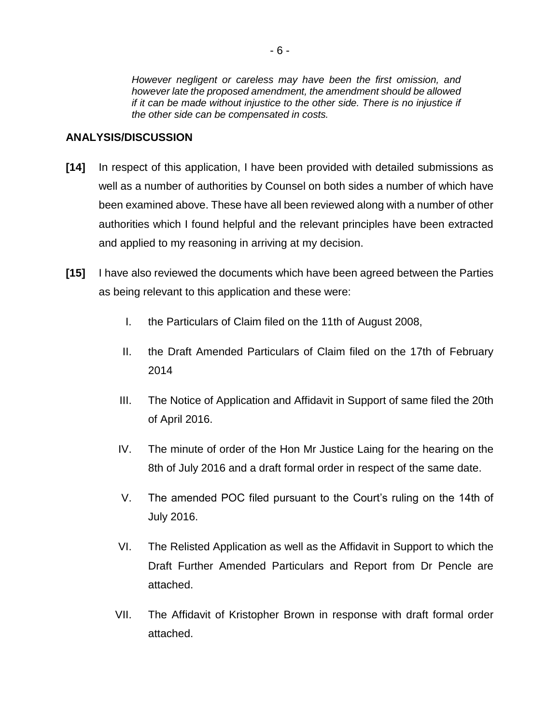## **ANALYSIS/DISCUSSION**

- **[14]** In respect of this application, I have been provided with detailed submissions as well as a number of authorities by Counsel on both sides a number of which have been examined above. These have all been reviewed along with a number of other authorities which I found helpful and the relevant principles have been extracted and applied to my reasoning in arriving at my decision.
- **[15]** I have also reviewed the documents which have been agreed between the Parties as being relevant to this application and these were:
	- I. the Particulars of Claim filed on the 11th of August 2008,
	- II. the Draft Amended Particulars of Claim filed on the 17th of February 2014
	- III. The Notice of Application and Affidavit in Support of same filed the 20th of April 2016.
	- IV. The minute of order of the Hon Mr Justice Laing for the hearing on the 8th of July 2016 and a draft formal order in respect of the same date.
	- V. The amended POC filed pursuant to the Court's ruling on the 14th of July 2016.
	- VI. The Relisted Application as well as the Affidavit in Support to which the Draft Further Amended Particulars and Report from Dr Pencle are attached.
	- VII. The Affidavit of Kristopher Brown in response with draft formal order attached.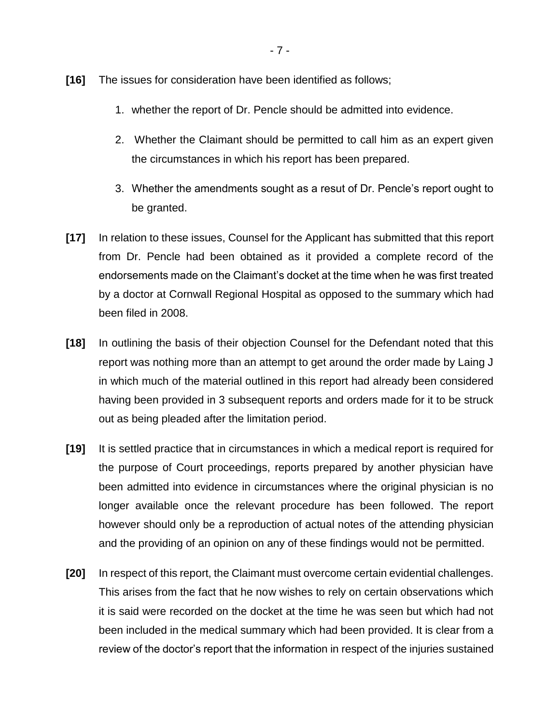- **[16]** The issues for consideration have been identified as follows;
	- 1. whether the report of Dr. Pencle should be admitted into evidence.
	- 2. Whether the Claimant should be permitted to call him as an expert given the circumstances in which his report has been prepared.
	- 3. Whether the amendments sought as a resut of Dr. Pencle's report ought to be granted.
- **[17]** In relation to these issues, Counsel for the Applicant has submitted that this report from Dr. Pencle had been obtained as it provided a complete record of the endorsements made on the Claimant's docket at the time when he was first treated by a doctor at Cornwall Regional Hospital as opposed to the summary which had been filed in 2008.
- **[18]** In outlining the basis of their objection Counsel for the Defendant noted that this report was nothing more than an attempt to get around the order made by Laing J in which much of the material outlined in this report had already been considered having been provided in 3 subsequent reports and orders made for it to be struck out as being pleaded after the limitation period.
- **[19]** It is settled practice that in circumstances in which a medical report is required for the purpose of Court proceedings, reports prepared by another physician have been admitted into evidence in circumstances where the original physician is no longer available once the relevant procedure has been followed. The report however should only be a reproduction of actual notes of the attending physician and the providing of an opinion on any of these findings would not be permitted.
- **[20]** In respect of this report, the Claimant must overcome certain evidential challenges. This arises from the fact that he now wishes to rely on certain observations which it is said were recorded on the docket at the time he was seen but which had not been included in the medical summary which had been provided. It is clear from a review of the doctor's report that the information in respect of the injuries sustained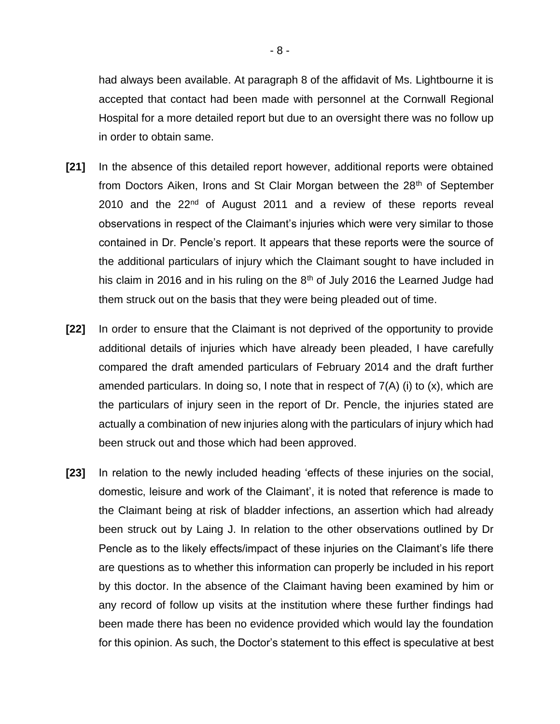had always been available. At paragraph 8 of the affidavit of Ms. Lightbourne it is accepted that contact had been made with personnel at the Cornwall Regional Hospital for a more detailed report but due to an oversight there was no follow up in order to obtain same.

- **[21]** In the absence of this detailed report however, additional reports were obtained from Doctors Aiken, Irons and St Clair Morgan between the 28<sup>th</sup> of September 2010 and the  $22<sup>nd</sup>$  of August 2011 and a review of these reports reveal observations in respect of the Claimant's injuries which were very similar to those contained in Dr. Pencle's report. It appears that these reports were the source of the additional particulars of injury which the Claimant sought to have included in his claim in 2016 and in his ruling on the  $8<sup>th</sup>$  of July 2016 the Learned Judge had them struck out on the basis that they were being pleaded out of time.
- **[22]** In order to ensure that the Claimant is not deprived of the opportunity to provide additional details of injuries which have already been pleaded, I have carefully compared the draft amended particulars of February 2014 and the draft further amended particulars. In doing so, I note that in respect of 7(A) (i) to (x), which are the particulars of injury seen in the report of Dr. Pencle, the injuries stated are actually a combination of new injuries along with the particulars of injury which had been struck out and those which had been approved.
- **[23]** In relation to the newly included heading 'effects of these injuries on the social, domestic, leisure and work of the Claimant', it is noted that reference is made to the Claimant being at risk of bladder infections, an assertion which had already been struck out by Laing J. In relation to the other observations outlined by Dr Pencle as to the likely effects/impact of these injuries on the Claimant's life there are questions as to whether this information can properly be included in his report by this doctor. In the absence of the Claimant having been examined by him or any record of follow up visits at the institution where these further findings had been made there has been no evidence provided which would lay the foundation for this opinion. As such, the Doctor's statement to this effect is speculative at best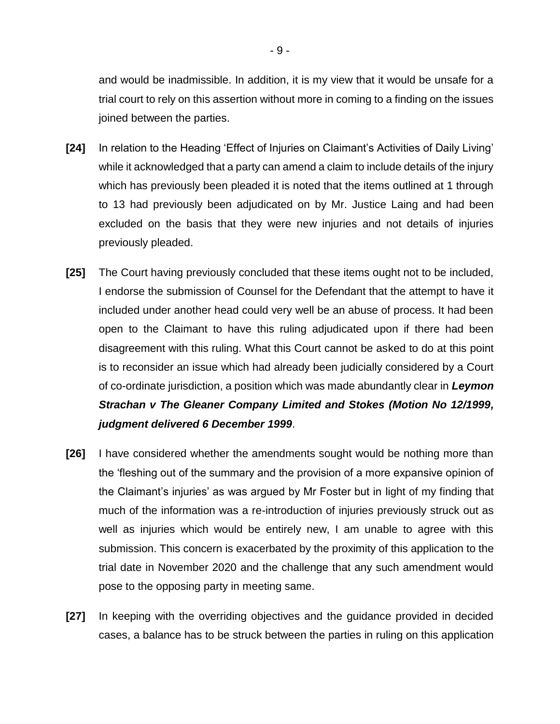and would be inadmissible. In addition, it is my view that it would be unsafe for a trial court to rely on this assertion without more in coming to a finding on the issues joined between the parties.

- **[24]** In relation to the Heading 'Effect of Injuries on Claimant's Activities of Daily Living' while it acknowledged that a party can amend a claim to include details of the injury which has previously been pleaded it is noted that the items outlined at 1 through to 13 had previously been adjudicated on by Mr. Justice Laing and had been excluded on the basis that they were new injuries and not details of injuries previously pleaded.
- **[25]** The Court having previously concluded that these items ought not to be included, I endorse the submission of Counsel for the Defendant that the attempt to have it included under another head could very well be an abuse of process. It had been open to the Claimant to have this ruling adjudicated upon if there had been disagreement with this ruling. What this Court cannot be asked to do at this point is to reconsider an issue which had already been judicially considered by a Court of co-ordinate jurisdiction, a position which was made abundantly clear in *Leymon Strachan v The Gleaner Company Limited and Stokes (Motion No 12/1999, judgment delivered 6 December 1999*.
- **[26]** I have considered whether the amendments sought would be nothing more than the 'fleshing out of the summary and the provision of a more expansive opinion of the Claimant's injuries' as was argued by Mr Foster but in light of my finding that much of the information was a re-introduction of injuries previously struck out as well as injuries which would be entirely new, I am unable to agree with this submission. This concern is exacerbated by the proximity of this application to the trial date in November 2020 and the challenge that any such amendment would pose to the opposing party in meeting same.
- **[27]** In keeping with the overriding objectives and the guidance provided in decided cases, a balance has to be struck between the parties in ruling on this application